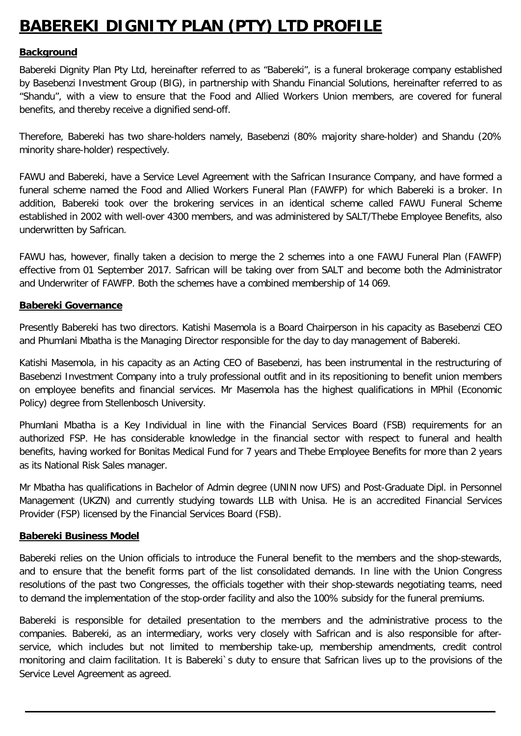# **BABEREKI DIGNITY PLAN (PTY) LTD PROFILE**

#### **Background**

Babereki Dignity Plan Pty Ltd, hereinafter referred to as "Babereki", is a funeral brokerage company established by Basebenzi Investment Group (BIG), in partnership with Shandu Financial Solutions, hereinafter referred to as "Shandu", with a view to ensure that the Food and Allied Workers Union members, are covered for funeral benefits, and thereby receive a dignified send-off.

Therefore, Babereki has two share-holders namely, Basebenzi (80% majority share-holder) and Shandu (20% minority share-holder) respectively.

FAWU and Babereki, have a Service Level Agreement with the Safrican Insurance Company, and have formed a funeral scheme named the Food and Allied Workers Funeral Plan (FAWFP) for which Babereki is a broker. In addition, Babereki took over the brokering services in an identical scheme called FAWU Funeral Scheme established in 2002 with well-over 4300 members, and was administered by SALT/Thebe Employee Benefits, also underwritten by Safrican.

FAWU has, however, finally taken a decision to merge the 2 schemes into a one FAWU Funeral Plan (FAWFP) effective from 01 September 2017. Safrican will be taking over from SALT and become both the Administrator and Underwriter of FAWFP. Both the schemes have a combined membership of 14 069.

#### **Babereki Governance**

Presently Babereki has two directors. Katishi Masemola is a Board Chairperson in his capacity as Basebenzi CEO and Phumlani Mbatha is the Managing Director responsible for the day to day management of Babereki.

Katishi Masemola, in his capacity as an Acting CEO of Basebenzi, has been instrumental in the restructuring of Basebenzi Investment Company into a truly professional outfit and in its repositioning to benefit union members on employee benefits and financial services. Mr Masemola has the highest qualifications in MPhil (Economic Policy) degree from Stellenbosch University.

Phumlani Mbatha is a Key Individual in line with the Financial Services Board (FSB) requirements for an authorized FSP. He has considerable knowledge in the financial sector with respect to funeral and health benefits, having worked for Bonitas Medical Fund for 7 years and Thebe Employee Benefits for more than 2 years as its National Risk Sales manager.

Mr Mbatha has qualifications in Bachelor of Admin degree (UNIN now UFS) and Post-Graduate Dipl. in Personnel Management (UKZN) and currently studying towards LLB with Unisa. He is an accredited Financial Services Provider (FSP) licensed by the Financial Services Board (FSB).

#### **Babereki Business Model**

Babereki relies on the Union officials to introduce the Funeral benefit to the members and the shop-stewards, and to ensure that the benefit forms part of the list consolidated demands. In line with the Union Congress resolutions of the past two Congresses, the officials together with their shop-stewards negotiating teams, need to demand the implementation of the stop-order facility and also the 100% subsidy for the funeral premiums.

Babereki is responsible for detailed presentation to the members and the administrative process to the companies. Babereki, as an intermediary, works very closely with Safrican and is also responsible for afterservice, which includes but not limited to membership take-up, membership amendments, credit control monitoring and claim facilitation. It is Babereki`s duty to ensure that Safrican lives up to the provisions of the Service Level Agreement as agreed.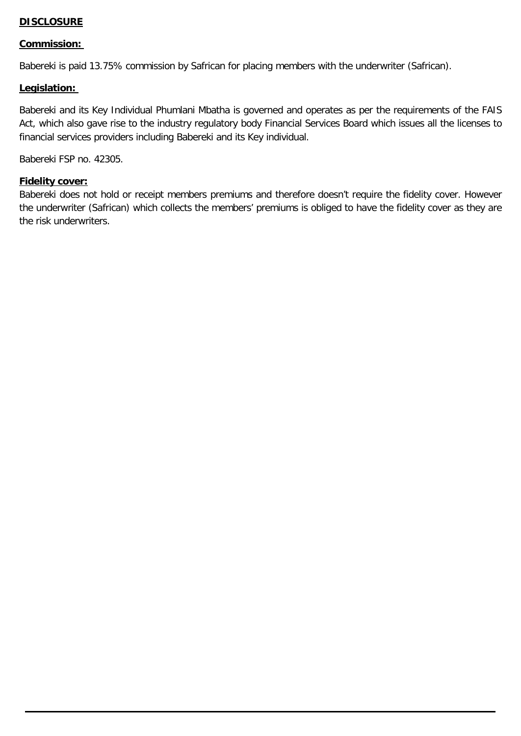#### **DISCLOSURE**

#### **Commission:**

Babereki is paid 13.75% commission by Safrican for placing members with the underwriter (Safrican).

#### **Legislation:**

Babereki and its Key Individual Phumlani Mbatha is governed and operates as per the requirements of the FAIS Act, which also gave rise to the industry regulatory body Financial Services Board which issues all the licenses to financial services providers including Babereki and its Key individual.

Babereki FSP no. 42305.

#### **Fidelity cover:**

Babereki does not hold or receipt members premiums and therefore doesn't require the fidelity cover. However the underwriter (Safrican) which collects the members' premiums is obliged to have the fidelity cover as they are the risk underwriters.